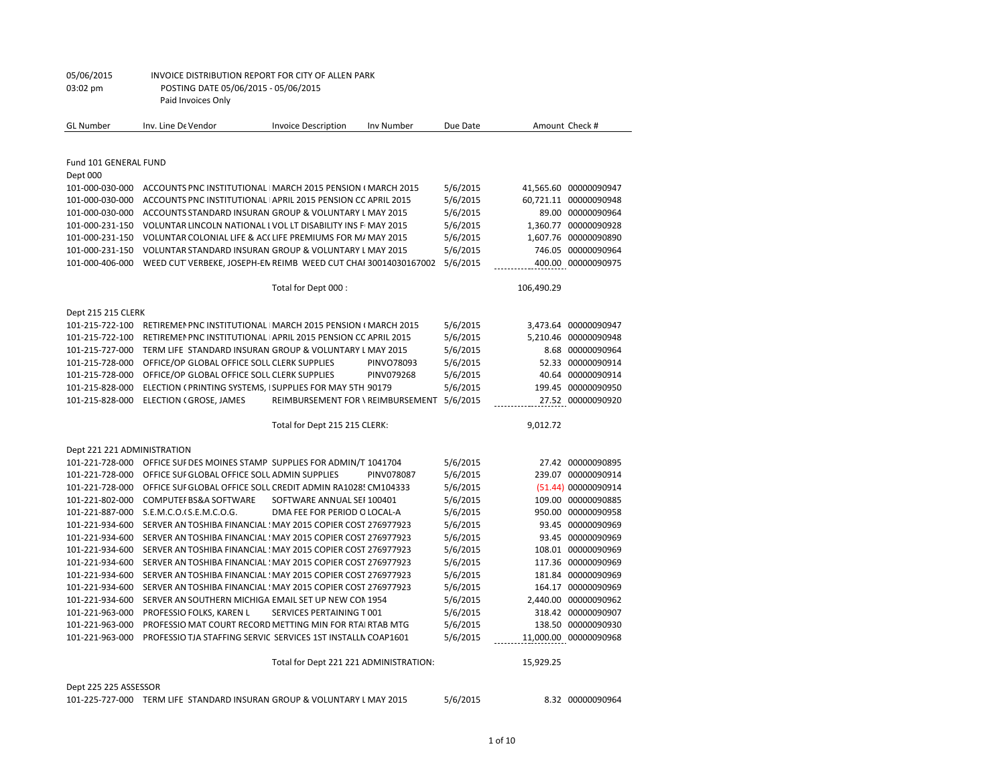| 05/06/2015 | INVOICE DISTRIBUTION REPORT FOR CITY OF ALLEN PARK |
|------------|----------------------------------------------------|
| 03:02 pm   | POSTING DATE 05/06/2015 - 05/06/2015               |
|            | Paid Invoices Only                                 |
|            |                                                    |

| <b>GL</b> Number            | Inv. Line De Vendor                                            | <b>Invoice Description</b>             | <b>Inv Number</b> | Due Date |            | Amount Check #        |
|-----------------------------|----------------------------------------------------------------|----------------------------------------|-------------------|----------|------------|-----------------------|
|                             |                                                                |                                        |                   |          |            |                       |
| Fund 101 GENERAL FUND       |                                                                |                                        |                   |          |            |                       |
| Dept 000                    |                                                                |                                        |                   |          |            |                       |
| 101-000-030-000             | ACCOUNTS PNC INSTITUTIONAL   MARCH 2015 PENSION (MARCH 2015    |                                        |                   | 5/6/2015 |            | 41,565.60 00000090947 |
| 101-000-030-000             | ACCOUNTS PNC INSTITUTIONAL APRIL 2015 PENSION CC APRIL 2015    |                                        |                   | 5/6/2015 |            | 60,721.11 00000090948 |
| 101-000-030-000             | ACCOUNTS STANDARD INSURAN GROUP & VOLUNTARY L MAY 2015         |                                        |                   | 5/6/2015 |            | 89.00 00000090964     |
| 101-000-231-150             | VOLUNTAR LINCOLN NATIONAL I VOL LT DISABILITY INS FIMAY 2015   |                                        |                   | 5/6/2015 |            | 1,360.77 00000090928  |
| 101-000-231-150             | VOLUNTAR COLONIAL LIFE & ACCLIFE PREMIUMS FOR M/MAY 2015       |                                        |                   | 5/6/2015 |            | 1,607.76 00000090890  |
| 101-000-231-150             | VOLUNTAR STANDARD INSURAN GROUP & VOLUNTARY L MAY 2015         |                                        |                   | 5/6/2015 |            | 746.05 00000090964    |
| 101-000-406-000             | WEED CUT VERBEKE, JOSEPH-EN REIMB WEED CUT CHAF 30014030167002 |                                        |                   | 5/6/2015 |            | 400.00 00000090975    |
|                             |                                                                | Total for Dept 000:                    |                   |          | 106,490.29 |                       |
| Dept 215 215 CLERK          |                                                                |                                        |                   |          |            |                       |
| 101-215-722-100             | RETIREMEN PNC INSTITUTIONAL   MARCH 2015 PENSION (MARCH 2015   |                                        |                   | 5/6/2015 |            | 3,473.64 00000090947  |
| 101-215-722-100             | RETIREMEN PNC INSTITUTIONAL APRIL 2015 PENSION CC APRIL 2015   |                                        |                   | 5/6/2015 |            | 5.210.46 00000090948  |
| 101-215-727-000             | TERM LIFE STANDARD INSURAN GROUP & VOLUNTARY L MAY 2015        |                                        |                   | 5/6/2015 |            | 8.68 00000090964      |
| 101-215-728-000             | OFFICE/OP GLOBAL OFFICE SOLL CLERK SUPPLIES                    |                                        | PINVO78093        | 5/6/2015 |            | 52.33 00000090914     |
| 101-215-728-000             | OFFICE/OP GLOBAL OFFICE SOLL CLERK SUPPLIES                    |                                        | PINV079268        | 5/6/2015 |            | 40.64 00000090914     |
| 101-215-828-000             | ELECTION (PRINTING SYSTEMS, I SUPPLIES FOR MAY 5TH 90179       |                                        |                   | 5/6/2015 |            | 199.45 00000090950    |
| 101-215-828-000             | ELECTION (GROSE, JAMES                                         | REIMBURSEMENT FOR \ REIMBURSEMENT      |                   | 5/6/2015 |            | 27.52 00000090920     |
|                             |                                                                | Total for Dept 215 215 CLERK:          |                   |          | 9,012.72   |                       |
| Dept 221 221 ADMINISTRATION |                                                                |                                        |                   |          |            |                       |
| 101-221-728-000             | OFFICE SUF DES MOINES STAMP SUPPLIES FOR ADMIN/T 1041704       |                                        |                   | 5/6/2015 |            | 27.42 00000090895     |
| 101-221-728-000             | OFFICE SUF GLOBAL OFFICE SOLL ADMIN SUPPLIES                   |                                        | PINV078087        | 5/6/2015 |            | 239.07 00000090914    |
| 101-221-728-000             | OFFICE SUF GLOBAL OFFICE SOLL CREDIT ADMIN RA1028! CM104333    |                                        |                   | 5/6/2015 |            | (51.44) 00000090914   |
| 101-221-802-000             | <b>COMPUTEF BS&amp;A SOFTWARE</b>                              | SOFTWARE ANNUAL SEF 100401             |                   | 5/6/2015 |            | 109.00 00000090885    |
| 101-221-887-000             | S.E.M.C.O.(S.E.M.C.O.G.                                        | DMA FEE FOR PERIOD O LOCAL-A           |                   | 5/6/2015 |            | 950.00 00000090958    |
| 101-221-934-600             | SERVER AN TOSHIBA FINANCIAL : MAY 2015 COPIER COST 276977923   |                                        |                   | 5/6/2015 |            | 93.45 00000090969     |
| 101-221-934-600             | SERVER AN TOSHIBA FINANCIAL : MAY 2015 COPIER COST 276977923   |                                        |                   | 5/6/2015 |            | 93.45 00000090969     |
| 101-221-934-600             | SERVER AN TOSHIBA FINANCIAL : MAY 2015 COPIER COST 276977923   |                                        |                   | 5/6/2015 |            | 108.01 00000090969    |
| 101-221-934-600             | SERVER AN TOSHIBA FINANCIAL : MAY 2015 COPIER COST 276977923   |                                        |                   | 5/6/2015 |            | 117.36 00000090969    |
| 101-221-934-600             | SERVER AN TOSHIBA FINANCIAL : MAY 2015 COPIER COST 276977923   |                                        |                   | 5/6/2015 |            | 181.84 00000090969    |
| 101-221-934-600             | SERVER AN TOSHIBA FINANCIAL : MAY 2015 COPIER COST 276977923   |                                        |                   | 5/6/2015 |            | 164.17 00000090969    |
| 101-221-934-600             | SERVER AN SOUTHERN MICHIGA EMAIL SET UP NEW CON 1954           |                                        |                   | 5/6/2015 |            | 2,440.00 00000090962  |
| 101-221-963-000             | PROFESSIO FOLKS, KAREN L                                       | SERVICES PERTAINING T001               |                   | 5/6/2015 |            | 318.42 00000090907    |
| 101-221-963-000             | PROFESSIO MAT COURT RECORD METTING MIN FOR RTAI RTAB MTG       |                                        |                   | 5/6/2015 |            | 138.50 00000090930    |
| 101-221-963-000             | PROFESSIO TJA STAFFING SERVIC SERVICES 1ST INSTALLN COAP1601   |                                        |                   | 5/6/2015 |            | 11,000.00 00000090968 |
|                             |                                                                | Total for Dept 221 221 ADMINISTRATION: |                   |          | 15,929.25  |                       |
|                             |                                                                |                                        |                   |          |            |                       |

101-225-727-000 TERM LIFE STANDARD INSURAN GROUP & VOLUNTARY LMAY 2015 5/6/2015 8.32 00000090964

Dept 225 225 ASSESSOR

1 of 10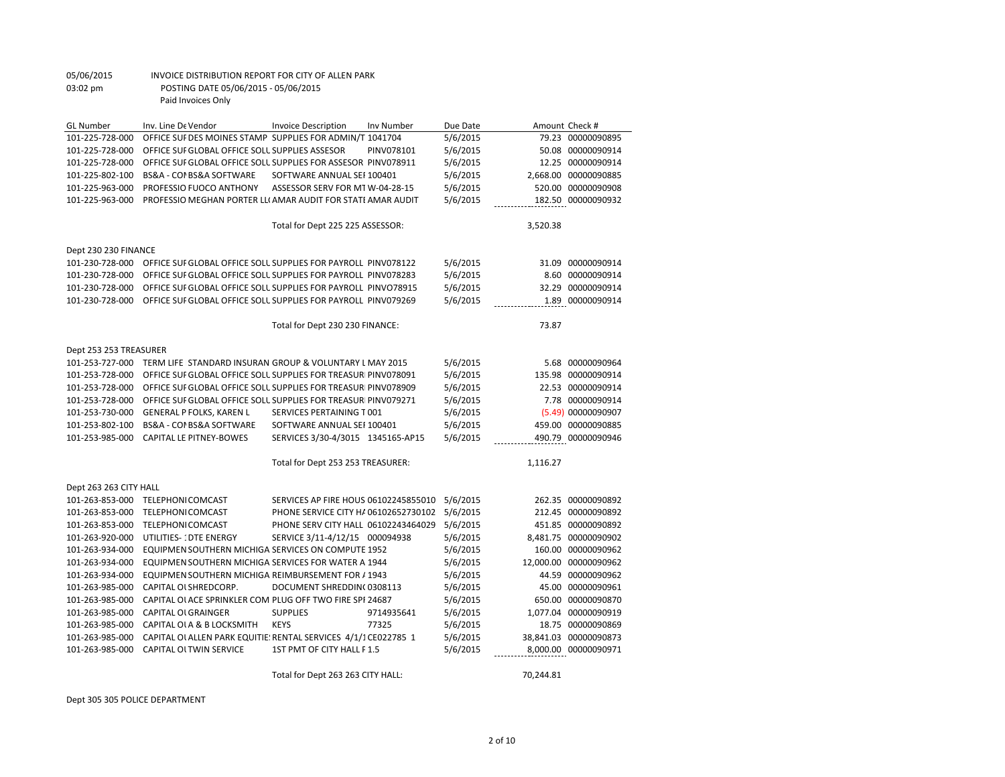#### Total for Dept 263 263 CITY HALL: 70,244.81

|                        |                                                                | Total for Dept 230 230 FINANCE:      |            |          | 73.87     |                      |
|------------------------|----------------------------------------------------------------|--------------------------------------|------------|----------|-----------|----------------------|
| Dept 253 253 TREASURER |                                                                |                                      |            |          |           |                      |
| 101-253-727-000        | TERM LIFE STANDARD INSURAN GROUP & VOLUNTARY L MAY 2015        |                                      |            | 5/6/2015 | 5.68      | 00000090964          |
| 101-253-728-000        | OFFICE SUI GLOBAL OFFICE SOLL SUPPLIES FOR TREASURIPINV078091  |                                      |            | 5/6/2015 |           | 135.98 00000090914   |
| 101-253-728-000        | OFFICE SUF GLOBAL OFFICE SOLL SUPPLIES FOR TREASURI PINV078909 |                                      |            | 5/6/2015 | 22.53     | 00000090914          |
| 101-253-728-000        | OFFICE SUF GLOBAL OFFICE SOLL SUPPLIES FOR TREASURI PINV079271 |                                      |            | 5/6/2015 | 7.78      | 00000090914          |
| 101-253-730-000        | <b>GENERAL P FOLKS, KAREN L</b>                                | SERVICES PERTAINING T001             |            | 5/6/2015 |           | (5.49) 00000090907   |
| 101-253-802-100        | BS&A - COI BS&A SOFTWARE                                       | SOFTWARE ANNUAL SEF 100401           |            | 5/6/2015 | 459.00    | 00000090885          |
| 101-253-985-000        | <b>CAPITAL LE PITNEY-BOWES</b>                                 | SERVICES 3/30-4/3015 1345165-AP15    |            | 5/6/2015 |           | 490.79 00000090946   |
|                        |                                                                | Total for Dept 253 253 TREASURER:    |            |          | 1,116.27  |                      |
| Dept 263 263 CITY HALL |                                                                |                                      |            |          |           |                      |
| 101-263-853-000        | <b>TELEPHONICOMCAST</b>                                        | SERVICES AP FIRE HOUS 06102245855010 |            | 5/6/2015 |           | 262.35 00000090892   |
| 101-263-853-000        | <b>TELEPHONICOMCAST</b>                                        | PHONE SERVICE CITY HA 06102652730102 |            | 5/6/2015 | 212.45    | 00000090892          |
| 101-263-853-000        | <b>TELEPHONICOMCAST</b>                                        | PHONE SERV CITY HALL 06102243464029  |            | 5/6/2015 |           | 451.85 00000090892   |
| 101-263-920-000        | UTILITIES-1DTE ENERGY                                          | SERVICE 3/11-4/12/15 000094938       |            | 5/6/2015 |           | 8,481.75 00000090902 |
| 101-263-934-000        | EQUIPMEN SOUTHERN MICHIGA SERVICES ON COMPUTE 1952             |                                      |            | 5/6/2015 | 160.00    | 00000090962          |
| 101-263-934-000        | EQUIPMEN SOUTHERN MICHIGA SERVICES FOR WATER A 1944            |                                      |            | 5/6/2015 | 12.000.00 | 00000090962          |
| 101-263-934-000        | EQUIPMEN SOUTHERN MICHIGA REIMBURSEMENT FOR / 1943             |                                      |            | 5/6/2015 | 44.59     | 00000090962          |
| 101-263-985-000        | CAPITAL OLSHREDCORP.                                           | DOCUMENT SHREDDIN(0308113            |            | 5/6/2015 | 45.00     | 00000090961          |
| 101-263-985-000        | CAPITAL OLACE SPRINKLER COM PLUG OFF TWO FIRE SPI 24687        |                                      |            | 5/6/2015 | 650.00    | 00000090870          |
| 101-263-985-000        | <b>CAPITAL OLGRAINGER</b>                                      | <b>SUPPLIES</b>                      | 9714935641 | 5/6/2015 |           | 1.077.04 00000090919 |
| 101-263-985-000        | CAPITAL OLA & B LOCKSMITH                                      | <b>KEYS</b>                          | 77325      | 5/6/2015 | 18.75     | 00000090869          |
| 101-263-985-000        | CAPITAL OI ALLEN PARK EQUITIE: RENTAL SERVICES 4/1/1CE022785 1 |                                      |            | 5/6/2015 | 38.841.03 | 00000090873          |
| 101-263-985-000        | <b>CAPITAL OLTWIN SERVICE</b>                                  | 1ST PMT OF CITY HALL F1.5            |            | 5/6/2015 |           | 8,000.00 00000090971 |
|                        |                                                                |                                      |            |          |           |                      |

| 101-225-963-000      | PROFESSIO FUOCO ANTHONY                                       | ASSESSOR SERV FOR MT W-04-28-15  | 5/6/2015 | 520.00   | 00000090908 |
|----------------------|---------------------------------------------------------------|----------------------------------|----------|----------|-------------|
| 101-225-963-000      | PROFESSIO MEGHAN PORTER LLI AMAR AUDIT FOR STATI AMAR AUDIT   |                                  | 5/6/2015 | 182.50   | 00000090932 |
|                      |                                                               |                                  |          |          |             |
|                      |                                                               | Total for Dept 225 225 ASSESSOR: |          | 3.520.38 |             |
|                      |                                                               |                                  |          |          |             |
| Dept 230 230 FINANCE |                                                               |                                  |          |          |             |
| 101-230-728-000      | OFFICE SUF GLOBAL OFFICE SOLL SUPPLIES FOR PAYROLL PINV078122 |                                  | 5/6/2015 | 31.09    | 00000090914 |
| 101-230-728-000      | OFFICE SUF GLOBAL OFFICE SOLL SUPPLIES FOR PAYROLL PINV078283 |                                  | 5/6/2015 | 8.60     | 00000090914 |
| 101-230-728-000      | OFFICE SUF GLOBAL OFFICE SOLL SUPPLIES FOR PAYROLL PINVO78915 |                                  | 5/6/2015 | 32.29    | 00000090914 |
| 101-230-728-000      | OFFICE SUF GLOBAL OFFICE SOLL SUPPLIES FOR PAYROLL PINV079269 |                                  | 5/6/2015 | 1.89     | 00000090914 |
|                      |                                                               |                                  |          |          |             |

GL Number Inv. Line De Vendor Invoice Description Inv Number Due Date Amount Check # 101-225-728-000 OFFICE SUF DES MOINES STAMP SUPPLIES FOR ADMIN/T 1041704 5/6/2015 79.23 00000090895 101-225-728-000 OFFICE SUF GLOBAL OFFICE SOLL SUPPLIES ASSESOR PINV078101 5/6/2015 50.08 00000090914 101-225-728-000 OFFICE SUPPLIES GLOBAL OFFICE SOLUTIONS SUPPLIES FOR ASSESOR PINV078911 5/6/2015 12.25 00000090914 101-225-802-100 BS&A - COI BS&A SOFTWARE SOFTWARE ANNUAL SEF 100401 5/6/2015 2,668.00 00000090885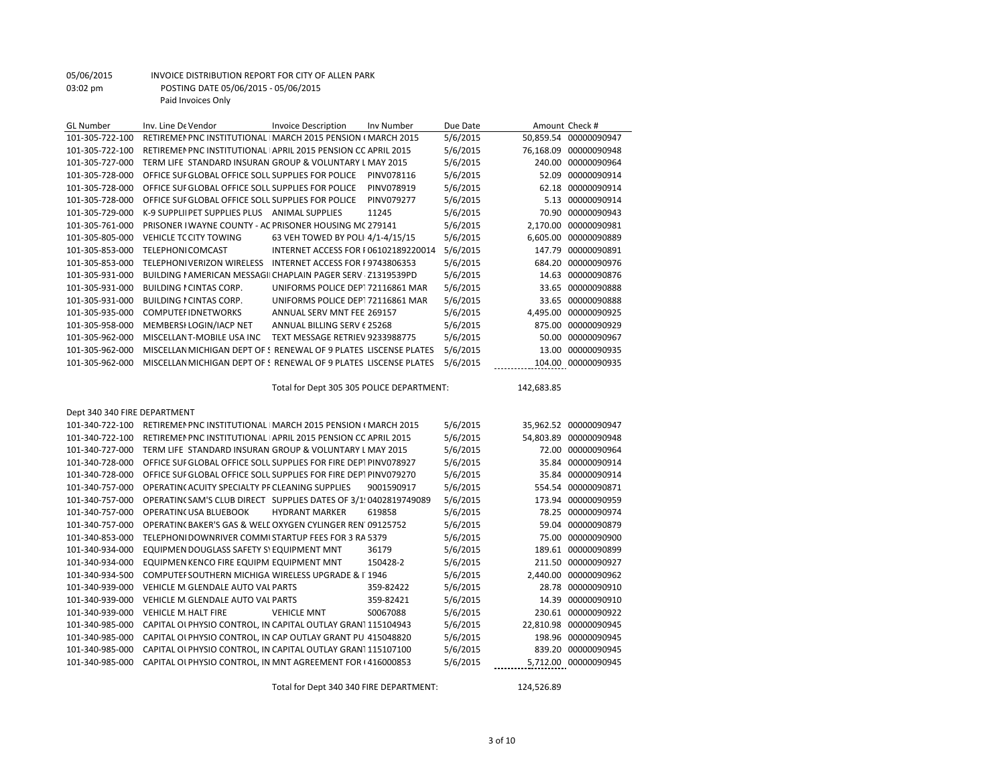| <b>GL Number</b>             | Inv. Line De Vendor                                              | <b>Invoice Description</b>                | Inv Number | Due Date |            | Amount Check #        |
|------------------------------|------------------------------------------------------------------|-------------------------------------------|------------|----------|------------|-----------------------|
| 101-305-722-100              | RETIREMEN PNC INSTITUTIONAL   MARCH 2015 PENSION (MARCH 2015     |                                           |            | 5/6/2015 |            | 50,859.54 00000090947 |
| 101-305-722-100              | RETIREMEN PNC INSTITUTIONAL APRIL 2015 PENSION CC APRIL 2015     |                                           |            | 5/6/2015 |            | 76,168.09 00000090948 |
| 101-305-727-000              | TERM LIFE STANDARD INSURAN GROUP & VOLUNTARY L MAY 2015          |                                           |            | 5/6/2015 |            | 240.00 00000090964    |
| 101-305-728-000              | OFFICE SUF GLOBAL OFFICE SOLL SUPPLIES FOR POLICE                |                                           | PINV078116 | 5/6/2015 |            | 52.09 00000090914     |
| 101-305-728-000              | OFFICE SUF GLOBAL OFFICE SOLL SUPPLIES FOR POLICE                |                                           | PINV078919 | 5/6/2015 |            | 62.18 00000090914     |
| 101-305-728-000              | OFFICE SUF GLOBAL OFFICE SOLL SUPPLIES FOR POLICE                |                                           | PINV079277 | 5/6/2015 |            | 5.13 00000090914      |
| 101-305-729-000              | K-9 SUPPLII PET SUPPLIES PLUS ANIMAL SUPPLIES                    |                                           | 11245      | 5/6/2015 |            | 70.90 00000090943     |
| 101-305-761-000              | PRISONER I WAYNE COUNTY - AC PRISONER HOUSING MC 279141          |                                           |            | 5/6/2015 |            | 2,170.00 00000090981  |
| 101-305-805-000              | VEHICLE TC CITY TOWING                                           | 63 VEH TOWED BY POLI 4/1-4/15/15          |            | 5/6/2015 |            | 6,605.00 00000090889  |
| 101-305-853-000              | <b>TELEPHONICOMCAST</b>                                          | INTERNET ACCESS FOR F06102189220014       |            | 5/6/2015 |            | 147.79 00000090891    |
| 101-305-853-000              | TELEPHONIVERIZON WIRELESS INTERNET ACCESS FOR F9743806353        |                                           |            | 5/6/2015 |            | 684.20 00000090976    |
| 101-305-931-000              | BUILDING I AMERICAN MESSAGII CHAPLAIN PAGER SERV · Z1319539PD    |                                           |            | 5/6/2015 |            | 14.63 00000090876     |
| 101-305-931-000              | <b>BUILDING I CINTAS CORP.</b>                                   | UNIFORMS POLICE DEP172116861 MAR          |            | 5/6/2015 |            | 33.65 00000090888     |
| 101-305-931-000              | <b>BUILDING I CINTAS CORP.</b>                                   | UNIFORMS POLICE DEP172116861 MAR          |            | 5/6/2015 |            | 33.65 00000090888     |
| 101-305-935-000              | <b>COMPUTEFIDNETWORKS</b>                                        | ANNUAL SERV MNT FEE 269157                |            | 5/6/2015 |            | 4,495.00 00000090925  |
| 101-305-958-000              | MEMBERSI LOGIN/IACP NET                                          | ANNUAL BILLING SERV 6 25268               |            | 5/6/2015 |            | 875.00 00000090929    |
| 101-305-962-000              | MISCELLANT-MOBILE USA INC                                        | TEXT MESSAGE RETRIEV 9233988775           |            | 5/6/2015 |            | 50.00 00000090967     |
| 101-305-962-000              | MISCELLAN MICHIGAN DEPT OF ! RENEWAL OF 9 PLATES LISCENSE PLATES |                                           |            | 5/6/2015 |            | 13.00 00000090935     |
| 101-305-962-000              | MISCELLAN MICHIGAN DEPT OF ! RENEWAL OF 9 PLATES LISCENSE PLATES |                                           |            | 5/6/2015 |            | 104.00 00000090935    |
|                              |                                                                  | Total for Dept 305 305 POLICE DEPARTMENT: |            |          | 142,683.85 |                       |
| Dept 340 340 FIRE DEPARTMENT |                                                                  |                                           |            |          |            |                       |
| 101-340-722-100              | RETIREMEN PNC INSTITUTIONAL IMARCH 2015 PENSION (MARCH 2015      |                                           |            | 5/6/2015 |            | 35,962.52 00000090947 |
| 101-340-722-100              | RETIREMEN PNC INSTITUTIONAL APRIL 2015 PENSION CC APRIL 2015     |                                           |            | 5/6/2015 |            | 54,803.89 00000090948 |
| 101-340-727-000              | TERM LIFE STANDARD INSURAN GROUP & VOLUNTARY L MAY 2015          |                                           |            | 5/6/2015 |            | 72.00 00000090964     |
| 101-340-728-000              | OFFICE SUF GLOBAL OFFICE SOLL SUPPLIES FOR FIRE DEPTPINV078927   |                                           |            | 5/6/2015 |            | 35.84 00000090914     |
| 101-340-728-000              | OFFICE SUF GLOBAL OFFICE SOLL SUPPLIES FOR FIRE DEPTPINV079270   |                                           |            | 5/6/2015 |            | 35.84 00000090914     |
| 101-340-757-000              | OPERATING ACUITY SPECIALTY PF CLEANING SUPPLIES                  |                                           | 9001590917 | 5/6/2015 |            | 554.54 00000090871    |
| 101-340-757-000              | OPERATING SAM'S CLUB DIRECT SUPPLIES DATES OF 3/1!0402819749089  |                                           |            | 5/6/2015 |            | 173.94 00000090959    |
| 101-340-757-000              | OPERATIN( USA BLUEBOOK                                           | <b>HYDRANT MARKER</b>                     | 619858     | 5/6/2015 |            | 78.25 00000090974     |
| 101-340-757-000              | OPERATING BAKER'S GAS & WELL OXYGEN CYLINGER REN 09125752        |                                           |            | 5/6/2015 |            | 59.04 00000090879     |
| 101-340-853-000              | TELEPHONI DOWNRIVER COMMI STARTUP FEES FOR 3 RA 5379             |                                           |            | 5/6/2015 |            | 75.00 00000090900     |
| 101-340-934-000              | EQUIPMEN DOUGLASS SAFETY S' EQUIPMENT MNT                        |                                           | 36179      | 5/6/2015 |            | 189.61 00000090899    |
| 101-340-934-000              | EQUIPMEN KENCO FIRE EQUIPM EQUIPMENT MNT                         |                                           | 150428-2   | 5/6/2015 |            | 211.50 00000090927    |
| 101-340-934-500              | COMPUTEI SOUTHERN MICHIGA WIRELESS UPGRADE & I 1946              |                                           |            | 5/6/2015 |            | 2,440.00 00000090962  |
| 101-340-939-000              | VEHICLE M GLENDALE AUTO VAL PARTS                                |                                           | 359-82422  | 5/6/2015 |            | 28.78 00000090910     |
| 101-340-939-000              | VEHICLE M GLENDALE AUTO VAL PARTS                                |                                           | 359-82421  | 5/6/2015 |            | 14.39 00000090910     |
| 101-340-939-000              | <b>VEHICLE M. HALT FIRE</b>                                      | <b>VEHICLE MNT</b>                        | S0067088   | 5/6/2015 |            | 230.61 00000090922    |
| 101-340-985-000              | CAPITAL OI PHYSIO CONTROL, IN CAPITAL OUTLAY GRAN1115104943      |                                           |            | 5/6/2015 |            | 22,810.98 00000090945 |
| 101-340-985-000              | CAPITAL OI PHYSIO CONTROL, IN CAP OUTLAY GRANT PUI 415048820     |                                           |            | 5/6/2015 |            | 198.96 00000090945    |
| 101-340-985-000              | CAPITAL OI PHYSIO CONTROL, IN CAPITAL OUTLAY GRAN1115107100      |                                           |            | 5/6/2015 |            | 839.20 00000090945    |
| 101-340-985-000              | CAPITAL OI PHYSIO CONTROL, IN MNT AGREEMENT FOR (416000853       |                                           |            | 5/6/2015 |            | 5,712.00 00000090945  |

Total for Dept 340 340 FIRE DEPARTMENT: 124,526.89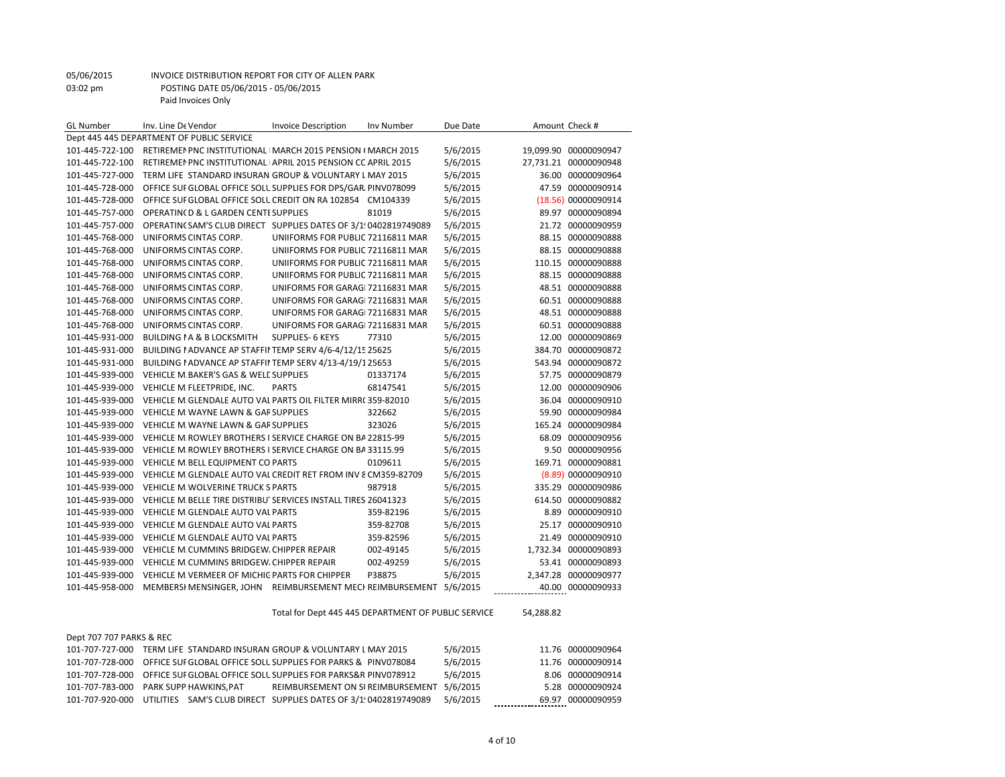| <b>GL Number</b>         | Inv. Line De Vendor                                                | <b>Invoice Description</b>                          | Inv Number | Due Date | Amount Check # |                       |
|--------------------------|--------------------------------------------------------------------|-----------------------------------------------------|------------|----------|----------------|-----------------------|
|                          | Dept 445 445 DEPARTMENT OF PUBLIC SERVICE                          |                                                     |            |          |                |                       |
| 101-445-722-100          | RETIREMEN PNC INSTITUTIONAL   MARCH 2015 PENSION (MARCH 2015       |                                                     |            | 5/6/2015 |                | 19,099.90 00000090947 |
| 101-445-722-100          | RETIREMEN PNC INSTITUTIONAL APRIL 2015 PENSION CC APRIL 2015       |                                                     |            | 5/6/2015 |                | 27,731.21 00000090948 |
| 101-445-727-000          | TERM LIFE STANDARD INSURAN GROUP & VOLUNTARY L MAY 2015            |                                                     |            | 5/6/2015 |                | 36.00 00000090964     |
| 101-445-728-000          | OFFICE SUF GLOBAL OFFICE SOLL SUPPLIES FOR DPS/GAR, PINV078099     |                                                     |            | 5/6/2015 | 47.59          | 00000090914           |
| 101-445-728-000          | OFFICE SUF GLOBAL OFFICE SOLL CREDIT ON RA 102854 CM104339         |                                                     |            | 5/6/2015 |                | (18.56) 00000090914   |
| 101-445-757-000          | OPERATING D & L GARDEN CENTI SUPPLIES                              |                                                     | 81019      | 5/6/2015 |                | 89.97 00000090894     |
| 101-445-757-000          | OPERATINCSAM'S CLUB DIRECT SUPPLIES DATES OF 3/1!0402819749089     |                                                     |            | 5/6/2015 |                | 21.72 00000090959     |
| 101-445-768-000          | UNIFORMS CINTAS CORP.                                              | UNIIFORMS FOR PUBLIC 72116811 MAR                   |            | 5/6/2015 |                | 88.15 00000090888     |
| 101-445-768-000          | UNIFORMS CINTAS CORP.                                              | UNIIFORMS FOR PUBLIC 72116811 MAR                   |            | 5/6/2015 |                | 88.15 00000090888     |
| 101-445-768-000          | UNIFORMS CINTAS CORP.                                              | UNIIFORMS FOR PUBLIC 72116811 MAR                   |            | 5/6/2015 |                | 110.15 00000090888    |
| 101-445-768-000          | UNIFORMS CINTAS CORP.                                              | UNIIFORMS FOR PUBLIC 72116811 MAR                   |            | 5/6/2015 |                | 88.15 00000090888     |
| 101-445-768-000          | UNIFORMS CINTAS CORP.                                              | UNIFORMS FOR GARAGI 72116831 MAR                    |            | 5/6/2015 |                | 48.51 00000090888     |
| 101-445-768-000          | UNIFORMS CINTAS CORP.                                              | UNIFORMS FOR GARAGI 72116831 MAR                    |            | 5/6/2015 |                | 60.51 00000090888     |
| 101-445-768-000          | UNIFORMS CINTAS CORP.                                              | UNIFORMS FOR GARAGI 72116831 MAR                    |            | 5/6/2015 |                | 48.51 00000090888     |
| 101-445-768-000          | UNIFORMS CINTAS CORP.                                              | UNIFORMS FOR GARAGI 72116831 MAR                    |            | 5/6/2015 |                | 60.51 00000090888     |
| 101-445-931-000          | <b>BUILDING I A &amp; B LOCKSMITH</b>                              | <b>SUPPLIES- 6 KEYS</b>                             | 77310      | 5/6/2015 |                | 12.00 00000090869     |
| 101-445-931-000          | BUILDING I ADVANCE AP STAFFII TEMP SERV 4/6-4/12/1525625           |                                                     |            | 5/6/2015 |                | 384.70 00000090872    |
| 101-445-931-000          | BUILDING I ADVANCE AP STAFFII TEMP SERV 4/13-4/19/125653           |                                                     |            | 5/6/2015 |                | 543.94 00000090872    |
| 101-445-939-000          | VEHICLE M. BAKER'S GAS & WELL SUPPLIES                             |                                                     | 01337174   | 5/6/2015 |                | 57.75 00000090879     |
| 101-445-939-000          | VEHICLE M FLEETPRIDE, INC.                                         | <b>PARTS</b>                                        | 68147541   | 5/6/2015 | 12.00          | 00000090906           |
| 101-445-939-000          | VEHICLE M GLENDALE AUTO VAL PARTS OIL FILTER MIRR(359-82010        |                                                     |            | 5/6/2015 |                | 36.04 00000090910     |
| 101-445-939-000          | VEHICLE M. WAYNE LAWN & GAF SUPPLIES                               |                                                     | 322662     | 5/6/2015 | 59.90          | 00000090984           |
| 101-445-939-000          | VEHICLE M. WAYNE LAWN & GAF SUPPLIES                               |                                                     | 323026     | 5/6/2015 | 165.24         | 00000090984           |
| 101-445-939-000          | VEHICLE M. ROWLEY BROTHERS I SERVICE CHARGE ON BA 22815-99         |                                                     |            | 5/6/2015 | 68.09          | 00000090956           |
| 101-445-939-000          | VEHICLE M. ROWLEY BROTHERS I SERVICE CHARGE ON BA 33115.99         |                                                     |            | 5/6/2015 |                | 9.50 00000090956      |
| 101-445-939-000          | VEHICLE M BELL EQUIPMENT CO PARTS                                  |                                                     | 0109611    | 5/6/2015 | 169.71         | 00000090881           |
| 101-445-939-000          | VEHICLE M. GLENDALE AUTO VAL CREDIT RET FROM INV 8 CM359-82709     |                                                     |            | 5/6/2015 |                | (8.89) 00000090910    |
| 101-445-939-000          | VEHICLE M. WOLVERINE TRUCK S PARTS                                 |                                                     | 987918     | 5/6/2015 | 335.29         | 00000090986           |
| 101-445-939-000          | VEHICLE M. BELLE TIRE DISTRIBU' SERVICES INSTALL TIRES 26041323    |                                                     |            | 5/6/2015 |                | 614.50 00000090882    |
| 101-445-939-000          | VEHICLE M GLENDALE AUTO VAL PARTS                                  |                                                     | 359-82196  | 5/6/2015 | 8.89           | 00000090910           |
| 101-445-939-000          | VEHICLE M GLENDALE AUTO VAL PARTS                                  |                                                     | 359-82708  | 5/6/2015 | 25.17          | 00000090910           |
| 101-445-939-000          | VEHICLE M. GLENDALE AUTO VAL PARTS                                 |                                                     | 359-82596  | 5/6/2015 | 21.49          | 00000090910           |
| 101-445-939-000          | VEHICLE M. CUMMINS BRIDGEW. CHIPPER REPAIR                         |                                                     | 002-49145  | 5/6/2015 |                | 1,732.34 00000090893  |
| 101-445-939-000          | VEHICLE M. CUMMINS BRIDGEW, CHIPPER REPAIR                         |                                                     | 002-49259  | 5/6/2015 | 53.41          | 00000090893           |
| 101-445-939-000          | VEHICLE M. VERMEER OF MICHIC PARTS FOR CHIPPER                     |                                                     | P38875     | 5/6/2015 |                | 2,347.28 00000090977  |
| 101-445-958-000          | MEMBERSI MENSINGER, JOHN REIMBURSEMENT MECI REIMBURSEMENT 5/6/2015 |                                                     |            |          |                | 40.00 00000090933     |
|                          |                                                                    |                                                     |            |          |                |                       |
|                          |                                                                    | Total for Dept 445 445 DEPARTMENT OF PUBLIC SERVICE |            |          | 54.288.82      |                       |
| Dept 707 707 PARKS & REC |                                                                    |                                                     |            |          |                |                       |
| 101-707-727-000          | TERM LIFE STANDARD INSURAN GROUP & VOLUNTARY L MAY 2015            |                                                     |            | 5/6/2015 |                | 11.76 00000090964     |
| 101-707-728-000          | OFFICE SUF GLOBAL OFFICE SOLL SUPPLIES FOR PARKS & IPINV078084     |                                                     |            | 5/6/2015 |                | 11.76 00000090914     |
| 101-707-728-000          | OFFICE SUF GLOBAL OFFICE SOLL SUPPLIES FOR PARKS&R PINV078912      |                                                     |            | 5/6/2015 |                | 8.06 00000090914      |
| 101-707-783-000          | PARK SUPP HAWKINS.PAT                                              | REIMBURSEMENT ON SLREIMBURSEMENT 5/6/2015           |            |          |                | 5.28 00000090924      |

101-707-920-000 UTILITIES SAM'S CLUB DIRECT SUPPLIES DATES OF 3/1!0402819749089 5/6/2015 \_\_\_\_\_\_\_\_

REIMBURSEMENT ON SI REIMBURSEMENT 5/6/2015 5.28 00000090924<br>SUPPLIES DATES OF 3/1!0402819749089 5/6/2015 5.28 00000090959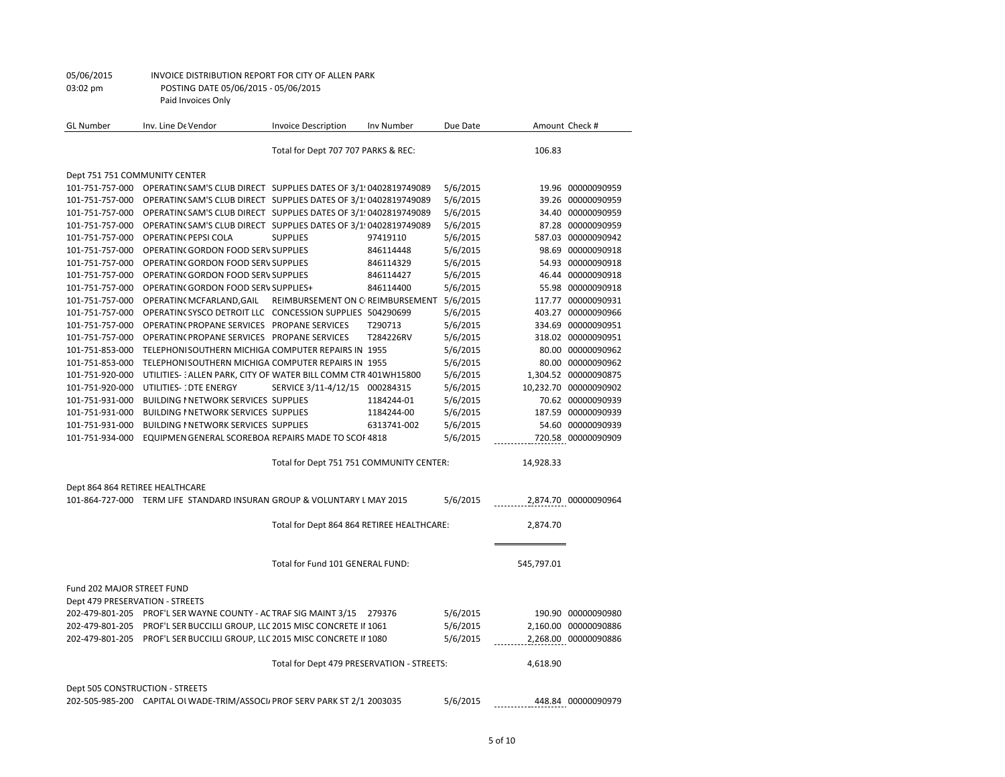| GL Number                       | Inv. Line De Vendor                                                            | <b>Invoice Description</b>                 | Inv Number  | Due Date |            | Amount Check #        |
|---------------------------------|--------------------------------------------------------------------------------|--------------------------------------------|-------------|----------|------------|-----------------------|
|                                 |                                                                                | Total for Dept 707 707 PARKS & REC:        |             |          | 106.83     |                       |
| Dept 751 751 COMMUNITY CENTER   |                                                                                |                                            |             |          |            |                       |
|                                 | 101-751-757-000 OPERATIN(SAM'S CLUB DIRECT SUPPLIES DATES OF 3/1!0402819749089 |                                            |             | 5/6/2015 |            | 19.96 00000090959     |
|                                 | 101-751-757-000 OPERATIN(SAM'S CLUB DIRECT SUPPLIES DATES OF 3/1!0402819749089 |                                            |             | 5/6/2015 |            | 39.26 00000090959     |
| 101-751-757-000                 | OPERATING SAM'S CLUB DIRECT SUPPLIES DATES OF 3/1!0402819749089                |                                            |             | 5/6/2015 |            | 34.40 00000090959     |
| 101-751-757-000                 | OPERATING SAM'S CLUB DIRECT SUPPLIES DATES OF 3/1:0402819749089                |                                            |             | 5/6/2015 |            | 87.28 00000090959     |
| 101-751-757-000                 | <b>OPERATIN(PEPSI COLA</b>                                                     | <b>SUPPLIES</b>                            | 97419110    | 5/6/2015 |            | 587.03 00000090942    |
| 101-751-757-000                 | OPERATING GORDON FOOD SERV SUPPLIES                                            |                                            | 846114448   | 5/6/2015 |            | 98.69 00000090918     |
| 101-751-757-000                 | OPERATING GORDON FOOD SERV SUPPLIES                                            |                                            | 846114329   | 5/6/2015 |            | 54.93 00000090918     |
| 101-751-757-000                 | OPERATING GORDON FOOD SERV SUPPLIES                                            |                                            | 846114427   | 5/6/2015 |            | 46.44 00000090918     |
| 101-751-757-000                 | OPERATING GORDON FOOD SERV SUPPLIES+                                           |                                            | 846114400   | 5/6/2015 |            | 55.98 00000090918     |
| 101-751-757-000                 | OPERATIN( MCFARLAND, GAIL                                                      | REIMBURSEMENT ON CIREIMBURSEMENT 5/6/2015  |             |          |            | 117.77 00000090931    |
| 101-751-757-000                 | OPERATING SYSCO DETROIT LLC CONCESSION SUPPLIES 504290699                      |                                            |             | 5/6/2015 |            | 403.27 00000090966    |
| 101-751-757-000                 | OPERATINC PROPANE SERVICES PROPANE SERVICES                                    |                                            | T290713     | 5/6/2015 |            | 334.69 00000090951    |
| 101-751-757-000                 | OPERATING PROPANE SERVICES PROPANE SERVICES                                    |                                            | T284226RV   | 5/6/2015 |            | 318.02 00000090951    |
| 101-751-853-000                 | TELEPHONISOUTHERN MICHIGA COMPUTER REPAIRS IN 1955                             |                                            |             | 5/6/2015 |            | 80.00 00000090962     |
| 101-751-853-000                 | TELEPHONISOUTHERN MICHIGA COMPUTER REPAIRS IN 1955                             |                                            |             | 5/6/2015 |            | 80.00 00000090962     |
| 101-751-920-000                 | UTILITIES-: ALLEN PARK, CITY OF WATER BILL COMM CTR 401WH15800                 |                                            |             | 5/6/2015 |            | 1,304.52 00000090875  |
| 101-751-920-000                 | UTILITIES-1DTE ENERGY                                                          | SERVICE 3/11-4/12/15 000284315             |             | 5/6/2015 |            | 10,232.70 00000090902 |
| 101-751-931-000                 | <b>BUILDING I NETWORK SERVICES SUPPLIES</b>                                    |                                            | 1184244-01  | 5/6/2015 |            | 70.62 00000090939     |
| 101-751-931-000                 | BUILDING I NETWORK SERVICES SUPPLIES                                           |                                            | 1184244-00  | 5/6/2015 |            | 187.59 00000090939    |
| 101-751-931-000                 | BUILDING I NETWORK SERVICES SUPPLIES                                           |                                            | 6313741-002 | 5/6/2015 |            | 54.60 00000090939     |
| 101-751-934-000                 | EQUIPMEN GENERAL SCOREBOA REPAIRS MADE TO SCOF 4818                            |                                            |             | 5/6/2015 |            | 720.58 00000090909    |
|                                 |                                                                                |                                            |             |          |            |                       |
|                                 |                                                                                | Total for Dept 751 751 COMMUNITY CENTER:   |             |          | 14,928.33  |                       |
| Dept 864 864 RETIREE HEALTHCARE |                                                                                |                                            |             |          |            |                       |
|                                 | 101-864-727-000 TERM LIFE STANDARD INSURAN GROUP & VOLUNTARY L MAY 2015        |                                            |             | 5/6/2015 |            | 2,874.70 00000090964  |
|                                 |                                                                                | Total for Dept 864 864 RETIREE HEALTHCARE: |             |          | 2,874.70   |                       |
|                                 |                                                                                |                                            |             |          |            |                       |
|                                 |                                                                                | Total for Fund 101 GENERAL FUND:           |             |          | 545,797.01 |                       |
| Fund 202 MAJOR STREET FUND      |                                                                                |                                            |             |          |            |                       |
| Dept 479 PRESERVATION - STREETS |                                                                                |                                            |             |          |            |                       |
|                                 | 202-479-801-205 PROF'L SER WAYNE COUNTY - AC TRAF SIG MAINT 3/15               |                                            | 279376      | 5/6/2015 |            | 190.90 00000090980    |
| 202-479-801-205                 | PROF'L SER BUCCILLI GROUP, LLC 2015 MISC CONCRETE II 1061                      |                                            |             | 5/6/2015 |            | 2,160.00 00000090886  |
|                                 | 202-479-801-205 PROF'L SER BUCCILLI GROUP, LLC 2015 MISC CONCRETE II 1080      |                                            |             | 5/6/2015 |            | 2,268.00 00000090886  |
|                                 |                                                                                | Total for Dept 479 PRESERVATION - STREETS: |             |          | 4,618.90   |                       |
| Dept 505 CONSTRUCTION - STREETS |                                                                                |                                            |             |          |            |                       |
|                                 | 202-505-985-200 CAPITAL OI WADE-TRIM/ASSOCI. PROF SERV PARK ST 2/1 2003035     |                                            |             | 5/6/2015 |            | 448.84 00000090979    |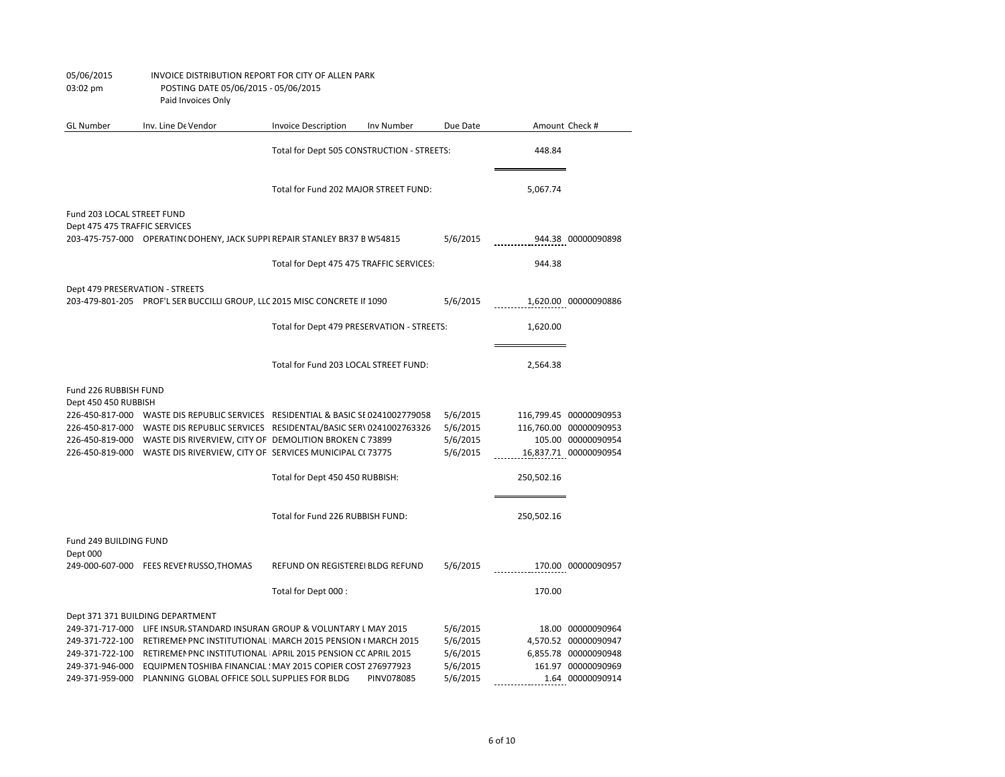| <b>GL Number</b>                              | Inv. Line De Vendor                                                             | <b>Invoice Description</b>                 | Inv Number | Due Date |            | Amount Check #         |
|-----------------------------------------------|---------------------------------------------------------------------------------|--------------------------------------------|------------|----------|------------|------------------------|
|                                               |                                                                                 | Total for Dept 505 CONSTRUCTION - STREETS: |            |          | 448.84     |                        |
|                                               |                                                                                 | Total for Fund 202 MAJOR STREET FUND:      |            |          | 5,067.74   |                        |
| Fund 203 LOCAL STREET FUND                    |                                                                                 |                                            |            |          |            |                        |
| Dept 475 475 TRAFFIC SERVICES                 |                                                                                 |                                            |            |          |            |                        |
|                                               | 203-475-757-000 OPERATIN(DOHENY, JACK SUPPI REPAIR STANLEY BR37 BW54815         |                                            |            | 5/6/2015 |            | 944.38 00000090898     |
|                                               |                                                                                 | Total for Dept 475 475 TRAFFIC SERVICES:   |            |          | 944.38     |                        |
| Dept 479 PRESERVATION - STREETS               |                                                                                 |                                            |            |          |            |                        |
|                                               | 203-479-801-205 PROF'L SER BUCCILLI GROUP, LLC 2015 MISC CONCRETE II 1090       |                                            |            | 5/6/2015 |            | 1,620.00 00000090886   |
|                                               |                                                                                 | Total for Dept 479 PRESERVATION - STREETS: |            |          | 1,620.00   |                        |
|                                               |                                                                                 | Total for Fund 203 LOCAL STREET FUND:      |            |          | 2,564.38   |                        |
|                                               |                                                                                 |                                            |            |          |            |                        |
| Fund 226 RUBBISH FUND<br>Dept 450 450 RUBBISH |                                                                                 |                                            |            |          |            |                        |
|                                               | 226-450-817-000 WASTE DIS REPUBLIC SERVICES RESIDENTIAL & BASIC SE0241002779058 |                                            |            | 5/6/2015 |            | 116,799.45 00000090953 |
| 226-450-817-000                               | WASTE DIS REPUBLIC SERVICES RESIDENTAL/BASIC SER\ 0241002763326                 |                                            |            | 5/6/2015 |            | 116,760.00 00000090953 |
|                                               | 226-450-819-000 WASTE DIS RIVERVIEW, CITY OF DEMOLITION BROKEN C 73899          |                                            |            | 5/6/2015 |            | 105.00 00000090954     |
|                                               | 226-450-819-000 WASTE DIS RIVERVIEW, CITY OF SERVICES MUNICIPAL C(73775         |                                            |            | 5/6/2015 |            | 16,837.71 00000090954  |
|                                               |                                                                                 | Total for Dept 450 450 RUBBISH:            |            |          | 250,502.16 |                        |
|                                               |                                                                                 | Total for Fund 226 RUBBISH FUND:           |            |          | 250,502.16 |                        |
|                                               |                                                                                 |                                            |            |          |            |                        |
| Fund 249 BUILDING FUND                        |                                                                                 |                                            |            |          |            |                        |
| Dept 000                                      |                                                                                 |                                            |            |          |            |                        |
|                                               | 249-000-607-000 FEES REVEI RUSSO, THOMAS                                        | REFUND ON REGISTEREI BLDG REFUND           |            | 5/6/2015 |            | 170.00 00000090957     |
|                                               |                                                                                 | Total for Dept 000 :                       |            |          | 170.00     |                        |
|                                               | Dept 371 371 BUILDING DEPARTMENT                                                |                                            |            |          |            |                        |
|                                               | 249-371-717-000 LIFE INSUR, STANDARD INSURAN GROUP & VOLUNTARY L MAY 2015       |                                            |            | 5/6/2015 |            | 18.00 00000090964      |
| 249-371-722-100                               | RETIREMEN PNC INSTITUTIONAL   MARCH 2015 PENSION (MARCH 2015                    |                                            |            | 5/6/2015 |            | 4,570.52 00000090947   |
| 249-371-722-100                               | RETIREMEN PNC INSTITUTIONAL APRIL 2015 PENSION COAPRIL 2015                     |                                            |            | 5/6/2015 |            | 6,855.78 00000090948   |
| 249-371-946-000                               | EQUIPMEN TOSHIBA FINANCIAL : MAY 2015 COPIER COST 276977923                     |                                            |            | 5/6/2015 |            | 161.97 00000090969     |
| 249-371-959-000                               | PLANNING GLOBAL OFFICE SOLL SUPPLIES FOR BLDG                                   |                                            | PINV078085 | 5/6/2015 |            | 1.64 00000090914       |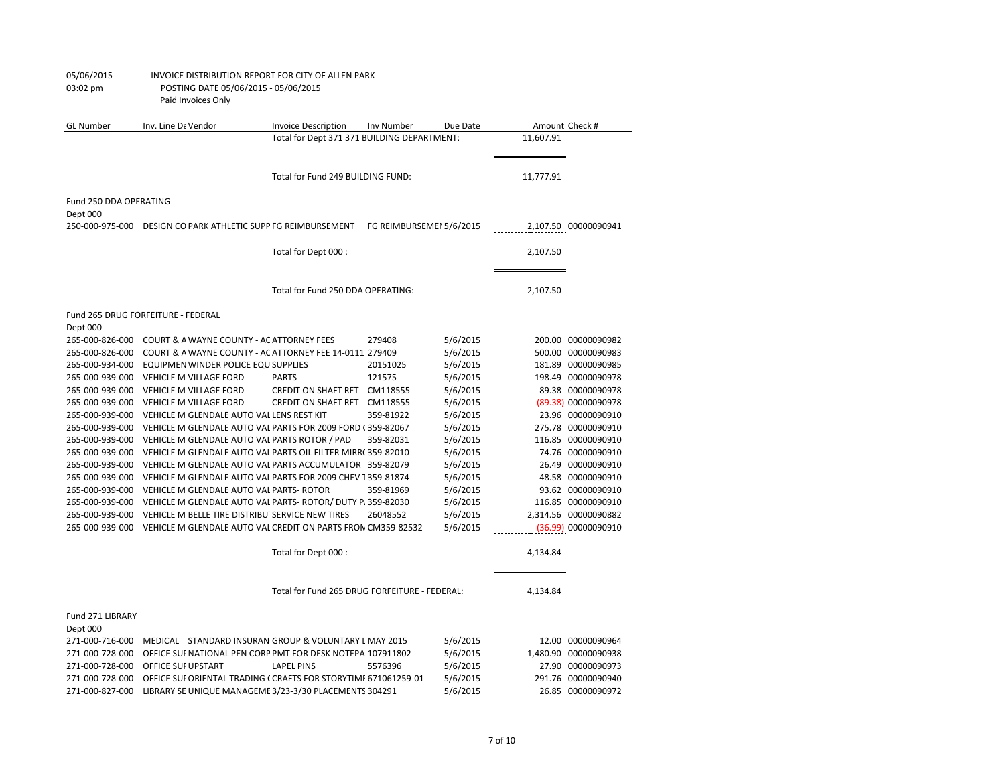| <b>GL Number</b>       | Inv. Line De Vendor                                             | <b>Invoice Description</b>                    | Inv Number               | Due Date |           | Amount Check #       |
|------------------------|-----------------------------------------------------------------|-----------------------------------------------|--------------------------|----------|-----------|----------------------|
|                        |                                                                 | Total for Dept 371 371 BUILDING DEPARTMENT:   |                          |          | 11,607.91 |                      |
|                        |                                                                 |                                               |                          |          |           |                      |
|                        |                                                                 |                                               |                          |          |           |                      |
|                        |                                                                 | Total for Fund 249 BUILDING FUND:             |                          |          | 11,777.91 |                      |
| Fund 250 DDA OPERATING |                                                                 |                                               |                          |          |           |                      |
| Dept 000               |                                                                 |                                               |                          |          |           |                      |
| 250-000-975-000        | DESIGN CO PARK ATHLETIC SUPP FG REIMBURSEMENT                   |                                               | FG REIMBURSEMEI 5/6/2015 |          |           | 2,107.50 00000090941 |
|                        |                                                                 |                                               |                          |          |           |                      |
|                        |                                                                 | Total for Dept 000 :                          |                          |          | 2,107.50  |                      |
|                        |                                                                 |                                               |                          |          |           |                      |
|                        |                                                                 |                                               |                          |          |           |                      |
|                        |                                                                 | Total for Fund 250 DDA OPERATING:             |                          |          | 2,107.50  |                      |
|                        | Fund 265 DRUG FORFEITURE - FEDERAL                              |                                               |                          |          |           |                      |
| Dept 000               |                                                                 |                                               |                          |          |           |                      |
| 265-000-826-000        | COURT & A WAYNE COUNTY - AC ATTORNEY FEES                       |                                               | 279408                   | 5/6/2015 |           | 200.00 00000090982   |
| 265-000-826-000        | COURT & A WAYNE COUNTY - AC ATTORNEY FEE 14-0111 279409         |                                               |                          | 5/6/2015 |           | 500.00 00000090983   |
| 265-000-934-000        | EQUIPMEN WINDER POLICE EQU SUPPLIES                             |                                               | 20151025                 | 5/6/2015 |           | 181.89 00000090985   |
| 265-000-939-000        | VEHICLE M. VILLAGE FORD                                         | <b>PARTS</b>                                  | 121575                   | 5/6/2015 |           | 198.49 00000090978   |
| 265-000-939-000        | <b>VEHICLE M VILLAGE FORD</b>                                   | CREDIT ON SHAFT RET CM118555                  |                          | 5/6/2015 |           | 89.38 00000090978    |
| 265-000-939-000        | VEHICLE M. VILLAGE FORD                                         | CREDIT ON SHAFT RET CM118555                  |                          | 5/6/2015 |           | (89.38) 00000090978  |
| 265-000-939-000        | VEHICLE M GLENDALE AUTO VAL LENS REST KIT                       |                                               | 359-81922                | 5/6/2015 |           | 23.96 00000090910    |
| 265-000-939-000        | VEHICLE M GLENDALE AUTO VAL PARTS FOR 2009 FORD (359-82067      |                                               |                          | 5/6/2015 |           | 275.78 00000090910   |
| 265-000-939-000        | VEHICLE M GLENDALE AUTO VAL PARTS ROTOR / PAD                   |                                               | 359-82031                | 5/6/2015 |           | 116.85 00000090910   |
| 265-000-939-000        | VEHICLE M GLENDALE AUTO VAL PARTS OIL FILTER MIRR(359-82010     |                                               |                          | 5/6/2015 |           | 74.76 00000090910    |
| 265-000-939-000        | VEHICLE M GLENDALE AUTO VAL PARTS ACCUMULATOR 359-82079         |                                               |                          | 5/6/2015 |           | 26.49 00000090910    |
| 265-000-939-000        | VEHICLE M GLENDALE AUTO VAL PARTS FOR 2009 CHEV T359-81874      |                                               |                          | 5/6/2015 |           | 48.58 00000090910    |
| 265-000-939-000        | VEHICLE M GLENDALE AUTO VAL PARTS- ROTOR                        |                                               | 359-81969                | 5/6/2015 |           | 93.62 00000090910    |
| 265-000-939-000        | VEHICLE M GLENDALE AUTO VAL PARTS- ROTOR/ DUTY P. 359-82030     |                                               |                          | 5/6/2015 |           | 116.85 00000090910   |
| 265-000-939-000        | VEHICLE M BELLE TIRE DISTRIBU SERVICE NEW TIRES                 |                                               | 26048552                 | 5/6/2015 |           | 2,314.56 00000090882 |
| 265-000-939-000        | VEHICLE M. GLENDALE AUTO VAL CREDIT ON PARTS FRON CM359-82532   |                                               |                          | 5/6/2015 |           | (36.99) 00000090910  |
|                        |                                                                 |                                               |                          |          |           |                      |
|                        |                                                                 | Total for Dept 000 :                          |                          |          | 4,134.84  |                      |
|                        |                                                                 |                                               |                          |          |           |                      |
|                        |                                                                 | Total for Fund 265 DRUG FORFEITURE - FEDERAL: |                          |          | 4,134.84  |                      |
|                        |                                                                 |                                               |                          |          |           |                      |
| Fund 271 LIBRARY       |                                                                 |                                               |                          |          |           |                      |
| Dept 000               |                                                                 |                                               |                          |          |           |                      |
| 271-000-716-000        | MEDICAL STANDARD INSURAN GROUP & VOLUNTARY L MAY 2015           |                                               |                          | 5/6/2015 |           | 12.00 00000090964    |
| 271-000-728-000        | OFFICE SUF NATIONAL PEN CORP PMT FOR DESK NOTEPA 107911802      |                                               |                          | 5/6/2015 |           | 1,480.90 00000090938 |
| 271-000-728-000        | OFFICE SUF UPSTART                                              | <b>LAPEL PINS</b>                             | 5576396                  | 5/6/2015 |           | 27.90 00000090973    |
| 271-000-728-000        | OFFICE SUF ORIENTAL TRADING ( CRAFTS FOR STORYTIME 671061259-01 |                                               |                          | 5/6/2015 |           | 291.76 00000090940   |
| 271-000-827-000        | LIBRARY SE UNIQUE MANAGEME 3/23-3/30 PLACEMENTS 304291          |                                               |                          | 5/6/2015 |           | 26.85 00000090972    |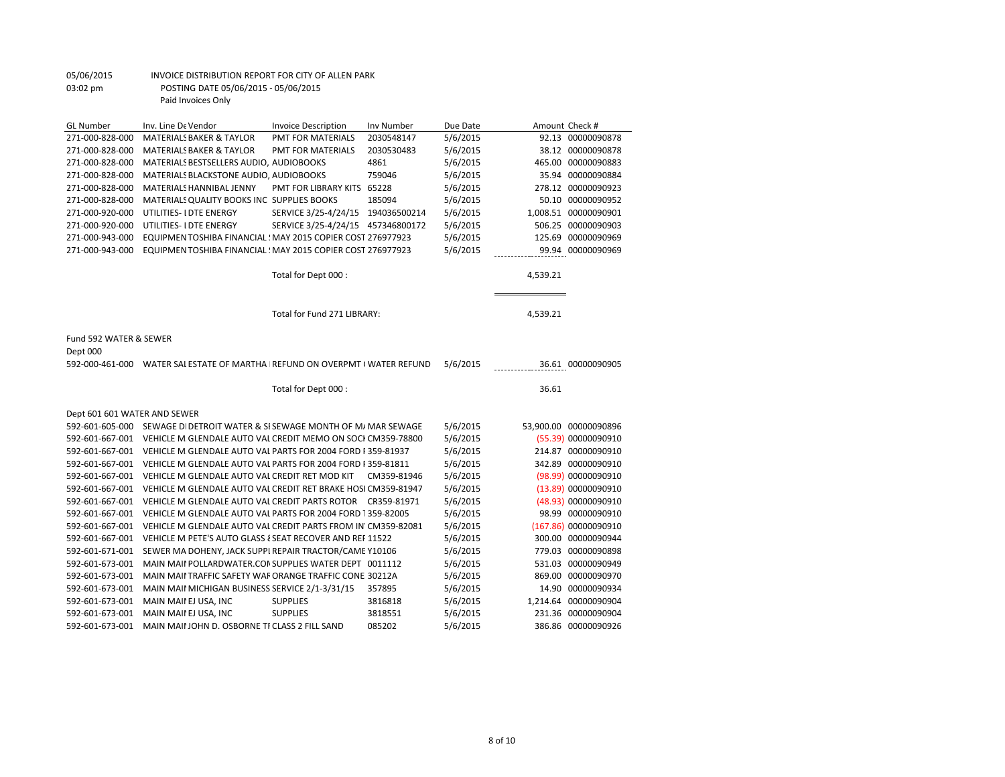| <b>GL Number</b>             | Inv. Line De Vendor                                                       | <b>Invoice Description</b>        | Inv Number  | Due Date |          | Amount Check #        |
|------------------------------|---------------------------------------------------------------------------|-----------------------------------|-------------|----------|----------|-----------------------|
| 271-000-828-000              | <b>MATERIALS BAKER &amp; TAYLOR</b>                                       | <b>PMT FOR MATERIALS</b>          | 2030548147  | 5/6/2015 |          | 92.13 00000090878     |
| 271-000-828-000              | <b>MATERIALS BAKER &amp; TAYLOR</b>                                       | <b>PMT FOR MATERIALS</b>          | 2030530483  | 5/6/2015 |          | 38.12 00000090878     |
| 271-000-828-000              | MATERIALS BESTSELLERS AUDIO, AUDIOBOOKS                                   |                                   | 4861        | 5/6/2015 |          | 465.00 00000090883    |
| 271-000-828-000              | MATERIALS BLACKSTONE AUDIO, AUDIOBOOKS                                    |                                   | 759046      | 5/6/2015 |          | 35.94 00000090884     |
| 271-000-828-000              | MATERIALS HANNIBAL JENNY                                                  | PMT FOR LIBRARY KITS 65228        |             | 5/6/2015 |          | 278.12 00000090923    |
| 271-000-828-000              | MATERIALS QUALITY BOOKS INC SUPPLIES BOOKS                                |                                   | 185094      | 5/6/2015 |          | 50.10 00000090952     |
| 271-000-920-000              | UTILITIES- I DTE ENERGY                                                   | SERVICE 3/25-4/24/15 194036500214 |             | 5/6/2015 |          | 1,008.51 00000090901  |
| 271-000-920-000              | UTILITIES- I DTE ENERGY                                                   | SERVICE 3/25-4/24/15 457346800172 |             | 5/6/2015 |          | 506.25 00000090903    |
| 271-000-943-000              | EQUIPMENTOSHIBA FINANCIAL: MAY 2015 COPIER COST 276977923                 |                                   |             | 5/6/2015 |          | 125.69 00000090969    |
| 271-000-943-000              | EQUIPMEN TOSHIBA FINANCIAL : MAY 2015 COPIER COST 276977923               |                                   |             | 5/6/2015 |          | 99.94 00000090969     |
|                              |                                                                           |                                   |             |          |          |                       |
|                              |                                                                           | Total for Dept 000 :              |             |          | 4,539.21 |                       |
|                              |                                                                           |                                   |             |          |          |                       |
|                              |                                                                           |                                   |             |          |          |                       |
|                              |                                                                           | Total for Fund 271 LIBRARY:       |             |          | 4,539.21 |                       |
| Fund 592 WATER & SEWER       |                                                                           |                                   |             |          |          |                       |
| Dept 000                     |                                                                           |                                   |             |          |          |                       |
|                              | 592-000-461-000 WATER SALESTATE OF MARTHA REFUND ON OVERPMT (WATER REFUND |                                   |             | 5/6/2015 |          | 36.61 00000090905     |
|                              |                                                                           |                                   |             |          |          |                       |
|                              |                                                                           | Total for Dept 000:               |             |          | 36.61    |                       |
| Dept 601 601 WATER AND SEWER |                                                                           |                                   |             |          |          |                       |
| 592-601-605-000              | SEWAGE DI DETROIT WATER & SI SEWAGE MONTH OF M/ MAR SEWAGE                |                                   |             | 5/6/2015 |          | 53,900.00 00000090896 |
| 592-601-667-001              | VEHICLE M GLENDALE AUTO VAL CREDIT MEMO ON SOCI CM359-78800               |                                   |             | 5/6/2015 |          | (55.39) 00000090910   |
| 592-601-667-001              | VEHICLE M GLENDALE AUTO VAL PARTS FOR 2004 FORD F359-81937                |                                   |             | 5/6/2015 |          | 214.87 00000090910    |
| 592-601-667-001              | VEHICLE M GLENDALE AUTO VAL PARTS FOR 2004 FORD I 359-81811               |                                   |             | 5/6/2015 |          | 342.89 00000090910    |
| 592-601-667-001              | VEHICLE M GLENDALE AUTO VAL CREDIT RET MOD KIT                            |                                   | CM359-81946 | 5/6/2015 |          | (98.99) 00000090910   |
| 592-601-667-001              | VEHICLE M GLENDALE AUTO VAL CREDIT RET BRAKE HOSI CM359-81947             |                                   |             | 5/6/2015 |          | (13.89) 00000090910   |
| 592-601-667-001              | VEHICLE M GLENDALE AUTO VAL CREDIT PARTS ROTOR CR359-81971                |                                   |             | 5/6/2015 |          | (48.93) 00000090910   |
| 592-601-667-001              | VEHICLE M GLENDALE AUTO VAL PARTS FOR 2004 FORD 1359-82005                |                                   |             | 5/6/2015 |          | 98.99 00000090910     |
| 592-601-667-001              | VEHICLE M. GLENDALE AUTO VAL CREDIT PARTS FROM IN' CM359-82081            |                                   |             | 5/6/2015 |          | (167.86) 00000090910  |
| 592-601-667-001              | VEHICLE M. PETE'S AUTO GLASS { SEAT RECOVER AND REF 11522                 |                                   |             | 5/6/2015 |          | 300.00 00000090944    |
| 592-601-671-001              | SEWER MA DOHENY, JACK SUPPI REPAIR TRACTOR/CAME Y10106                    |                                   |             | 5/6/2015 |          | 779.03 00000090898    |
| 592-601-673-001              | MAIN MAII POLLARDWATER.CON SUPPLIES WATER DEPT 0011112                    |                                   |             | 5/6/2015 |          | 531.03 00000090949    |
|                              |                                                                           |                                   |             | 5/6/2015 |          | 869.00 00000090970    |
| 592-601-673-001              | MAIN MAII TRAFFIC SAFETY WAF ORANGE TRAFFIC CONE 30212A                   |                                   |             |          |          |                       |
| 592-601-673-001              | MAIN MAII MICHIGAN BUSINESS SERVICE 2/1-3/31/15                           |                                   | 357895      | 5/6/2015 |          | 14.90 00000090934     |
| 592-601-673-001              | MAIN MAII EJ USA, INC                                                     | <b>SUPPLIES</b>                   | 3816818     | 5/6/2015 |          | 1,214.64 00000090904  |
| 592-601-673-001              | MAIN MAII EJ USA, INC                                                     | <b>SUPPLIES</b>                   | 3818551     | 5/6/2015 |          | 231.36 00000090904    |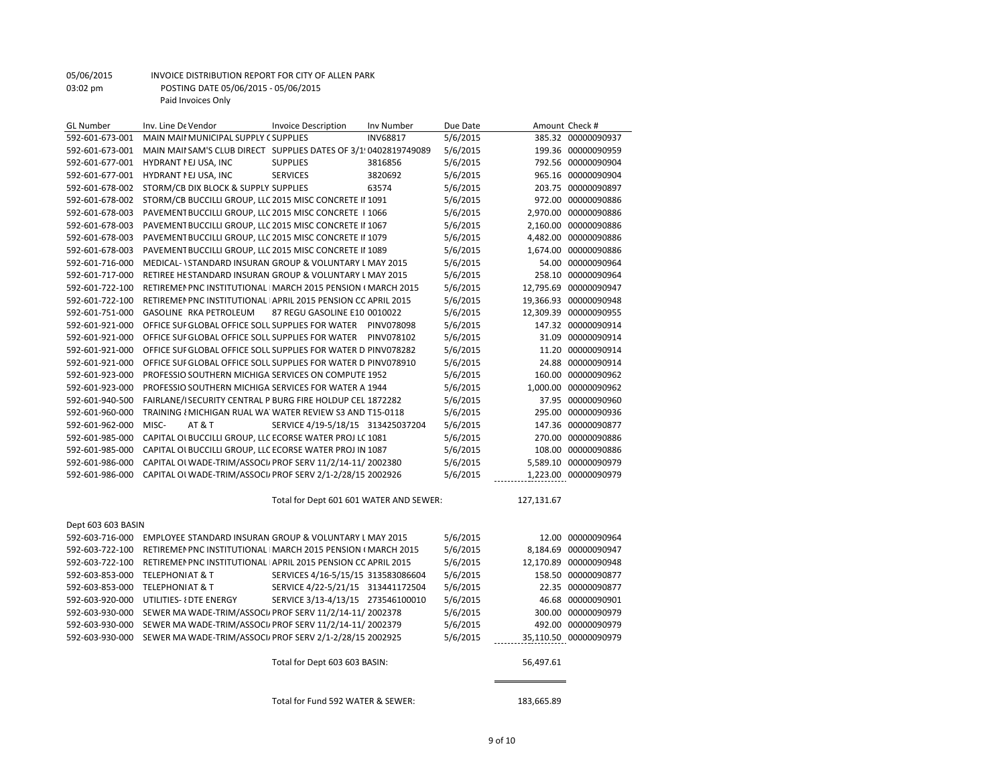| <b>GL Number</b>   | Inv. Line De Vendor                                             | <b>Invoice Description</b>              | Inv Number      | Due Date |            | Amount Check #        |
|--------------------|-----------------------------------------------------------------|-----------------------------------------|-----------------|----------|------------|-----------------------|
| 592-601-673-001    | MAIN MAII MUNICIPAL SUPPLY (SUPPLIES                            |                                         | <b>INV68817</b> | 5/6/2015 |            | 385.32 00000090937    |
| 592-601-673-001    | MAIN MAII SAM'S CLUB DIRECT SUPPLIES DATES OF 3/1:0402819749089 |                                         |                 | 5/6/2015 |            | 199.36 00000090959    |
| 592-601-677-001    | HYDRANT I EJ USA, INC                                           | <b>SUPPLIES</b>                         | 3816856         | 5/6/2015 |            | 792.56 00000090904    |
| 592-601-677-001    | HYDRANT I EJ USA, INC                                           | <b>SERVICES</b>                         | 3820692         | 5/6/2015 |            | 965.16 00000090904    |
| 592-601-678-002    | STORM/CB DIX BLOCK & SUPPLY SUPPLIES                            |                                         | 63574           | 5/6/2015 |            | 203.75 00000090897    |
| 592-601-678-002    | STORM/CB BUCCILLI GROUP, LLC 2015 MISC CONCRETE II 1091         |                                         |                 | 5/6/2015 |            | 972.00 00000090886    |
| 592-601-678-003    | PAVEMENT BUCCILLI GROUP, LLC 2015 MISC CONCRETE   1066          |                                         |                 | 5/6/2015 |            | 2,970.00 00000090886  |
| 592-601-678-003    | PAVEMENT BUCCILLI GROUP, LLC 2015 MISC CONCRETE II 1067         |                                         |                 | 5/6/2015 |            | 2,160.00 00000090886  |
| 592-601-678-003    | PAVEMENT BUCCILLI GROUP, LLC 2015 MISC CONCRETE II 1079         |                                         |                 | 5/6/2015 |            | 4,482.00 00000090886  |
| 592-601-678-003    | PAVEMENT BUCCILLI GROUP, LLC 2015 MISC CONCRETE II 1089         |                                         |                 | 5/6/2015 |            | 1,674.00 00000090886  |
| 592-601-716-000    | MEDICAL- \ STANDARD INSURAN GROUP & VOLUNTARY L MAY 2015        |                                         |                 | 5/6/2015 |            | 54.00 00000090964     |
| 592-601-717-000    | RETIREE HE STANDARD INSURAN GROUP & VOLUNTARY L MAY 2015        |                                         |                 | 5/6/2015 |            | 258.10 00000090964    |
| 592-601-722-100    | RETIREMEN PNC INSTITUTIONAL   MARCH 2015 PENSION (MARCH 2015    |                                         |                 | 5/6/2015 |            | 12,795.69 00000090947 |
| 592-601-722-100    | RETIREMEN PNC INSTITUTIONAL APRIL 2015 PENSION CC APRIL 2015    |                                         |                 | 5/6/2015 |            | 19,366.93 00000090948 |
| 592-601-751-000    | GASOLINE RKA PETROLEUM                                          | 87 REGU GASOLINE E10 0010022            |                 | 5/6/2015 |            | 12,309.39 00000090955 |
| 592-601-921-000    | OFFICE SUF GLOBAL OFFICE SOLL SUPPLIES FOR WATER                |                                         | PINV078098      | 5/6/2015 |            | 147.32 00000090914    |
| 592-601-921-000    | OFFICE SUF GLOBAL OFFICE SOLL SUPPLIES FOR WATER                |                                         | PINV078102      | 5/6/2015 |            | 31.09 00000090914     |
| 592-601-921-000    | OFFICE SUF GLOBAL OFFICE SOLL SUPPLIES FOR WATER D PINV078282   |                                         |                 | 5/6/2015 |            | 11.20 00000090914     |
| 592-601-921-000    | OFFICE SUF GLOBAL OFFICE SOLL SUPPLIES FOR WATER D PINV078910   |                                         |                 | 5/6/2015 |            | 24.88 00000090914     |
| 592-601-923-000    | PROFESSIO SOUTHERN MICHIGA SERVICES ON COMPUTE 1952             |                                         |                 | 5/6/2015 |            | 160.00 00000090962    |
| 592-601-923-000    | PROFESSIO SOUTHERN MICHIGA SERVICES FOR WATER A 1944            |                                         |                 | 5/6/2015 |            | 1,000.00 00000090962  |
| 592-601-940-500    | FAIRLANE/I SECURITY CENTRAL P BURG FIRE HOLDUP CEL 1872282      |                                         |                 | 5/6/2015 |            | 37.95 00000090960     |
| 592-601-960-000    | TRAINING { MICHIGAN RUAL WA WATER REVIEW S3 AND T15-0118        |                                         |                 | 5/6/2015 |            | 295.00 00000090936    |
| 592-601-962-000    | MISC-<br><b>AT &amp; T</b>                                      | SERVICE 4/19-5/18/15 313425037204       |                 | 5/6/2015 |            | 147.36 00000090877    |
| 592-601-985-000    | CAPITAL OI BUCCILLI GROUP, LLC ECORSE WATER PROJ LC 1081        |                                         |                 | 5/6/2015 |            | 270.00 00000090886    |
| 592-601-985-000    | CAPITAL OI BUCCILLI GROUP, LLC ECORSE WATER PROJ IN 1087        |                                         |                 | 5/6/2015 |            | 108.00 00000090886    |
| 592-601-986-000    | CAPITAL OI WADE-TRIM/ASSOCI, PROF SERV 11/2/14-11/2002380       |                                         |                 | 5/6/2015 |            | 5,589.10 00000090979  |
| 592-601-986-000    | CAPITAL OI WADE-TRIM/ASSOCI/ PROF SERV 2/1-2/28/15 2002926      |                                         |                 | 5/6/2015 |            | 1,223.00 00000090979  |
|                    |                                                                 | Total for Dept 601 601 WATER AND SEWER: |                 |          | 127,131.67 |                       |
|                    |                                                                 |                                         |                 |          |            |                       |
| Dept 603 603 BASIN |                                                                 |                                         |                 |          |            |                       |
| 592-603-716-000    | EMPLOYEE STANDARD INSURAN GROUP & VOLUNTARY L MAY 2015          |                                         |                 | 5/6/2015 |            | 12.00 00000090964     |
| 592-603-722-100    | RETIREMEN PNC INSTITUTIONAL   MARCH 2015 PENSION (MARCH 2015    |                                         |                 | 5/6/2015 |            | 8,184.69 00000090947  |
| 592-603-722-100    | RETIREMEN PNC INSTITUTIONAL APRIL 2015 PENSION COAPRIL 2015     |                                         |                 | 5/6/2015 |            | 12,170.89 00000090948 |
| 592-603-853-000    | <b>TELEPHONIAT &amp; T</b>                                      | SERVICES 4/16-5/15/15 313583086604      |                 | 5/6/2015 |            | 158.50 00000090877    |
| 592-603-853-000    | <b>TELEPHONIAT &amp; T</b>                                      | SERVICE 4/22-5/21/15 313441172504       |                 | 5/6/2015 |            | 22.35 00000090877     |
| 592-603-920-000    | UTILITIES- { DTE ENERGY                                         | SERVICE 3/13-4/13/15 273546100010       |                 | 5/6/2015 |            | 46.68 00000090901     |
| 592-603-930-000    | SEWER MA WADE-TRIM/ASSOCI/ PROF SERV 11/2/14-11/2002378         |                                         |                 | 5/6/2015 |            | 300.00 00000090979    |
| 592-603-930-000    | SEWER MA WADE-TRIM/ASSOCI/ PROF SERV 11/2/14-11/2002379         |                                         |                 | 5/6/2015 |            | 492.00 00000090979    |
| 592-603-930-000    | SEWER MA WADE-TRIM/ASSOCI, PROF SERV 2/1-2/28/15 2002925        |                                         |                 | 5/6/2015 |            | 35,110.50 00000090979 |
|                    |                                                                 | Total for Dept 603 603 BASIN:           |                 |          | 56,497.61  |                       |
|                    |                                                                 |                                         |                 |          |            |                       |
|                    |                                                                 | Total for Fund 592 WATER & SEWER:       |                 |          | 183,665.89 |                       |